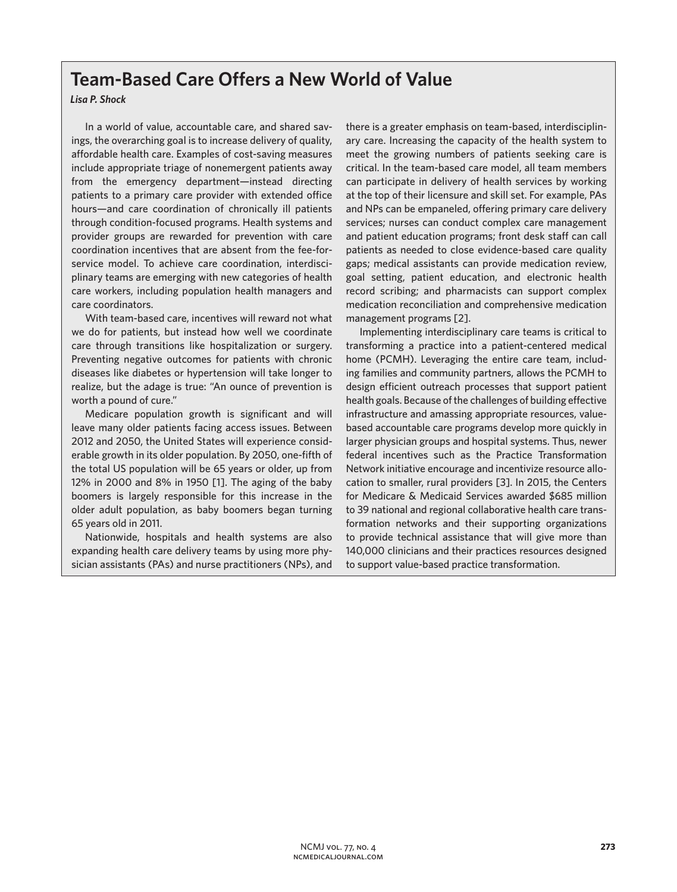## **Team-Based Care Offers a New World of Value**

## *Lisa P. Shock*

In a world of value, accountable care, and shared savings, the overarching goal is to increase delivery of quality, affordable health care. Examples of cost-saving measures include appropriate triage of nonemergent patients away from the emergency department—instead directing patients to a primary care provider with extended office hours—and care coordination of chronically ill patients through condition-focused programs. Health systems and provider groups are rewarded for prevention with care coordination incentives that are absent from the fee-forservice model. To achieve care coordination, interdisciplinary teams are emerging with new categories of health care workers, including population health managers and care coordinators.

With team-based care, incentives will reward not what we do for patients, but instead how well we coordinate care through transitions like hospitalization or surgery. Preventing negative outcomes for patients with chronic diseases like diabetes or hypertension will take longer to realize, but the adage is true: "An ounce of prevention is worth a pound of cure."

Medicare population growth is significant and will leave many older patients facing access issues. Between 2012 and 2050, the United States will experience considerable growth in its older population. By 2050, one-fifth of the total US population will be 65 years or older, up from 12% in 2000 and 8% in 1950 [1]. The aging of the baby boomers is largely responsible for this increase in the older adult population, as baby boomers began turning 65 years old in 2011.

Nationwide, hospitals and health systems are also expanding health care delivery teams by using more physician assistants (PAs) and nurse practitioners (NPs), and there is a greater emphasis on team-based, interdisciplinary care. Increasing the capacity of the health system to meet the growing numbers of patients seeking care is critical. In the team-based care model, all team members can participate in delivery of health services by working at the top of their licensure and skill set. For example, PAs and NPs can be empaneled, offering primary care delivery services; nurses can conduct complex care management and patient education programs; front desk staff can call patients as needed to close evidence-based care quality gaps; medical assistants can provide medication review, goal setting, patient education, and electronic health record scribing; and pharmacists can support complex medication reconciliation and comprehensive medication management programs [2].

Implementing interdisciplinary care teams is critical to transforming a practice into a patient-centered medical home (PCMH). Leveraging the entire care team, including families and community partners, allows the PCMH to design efficient outreach processes that support patient health goals. Because of the challenges of building effective infrastructure and amassing appropriate resources, valuebased accountable care programs develop more quickly in larger physician groups and hospital systems. Thus, newer federal incentives such as the Practice Transformation Network initiative encourage and incentivize resource allocation to smaller, rural providers [3]. In 2015, the Centers for Medicare & Medicaid Services awarded \$685 million to 39 national and regional collaborative health care transformation networks and their supporting organizations to provide technical assistance that will give more than 140,000 clinicians and their practices resources designed to support value-based practice transformation.